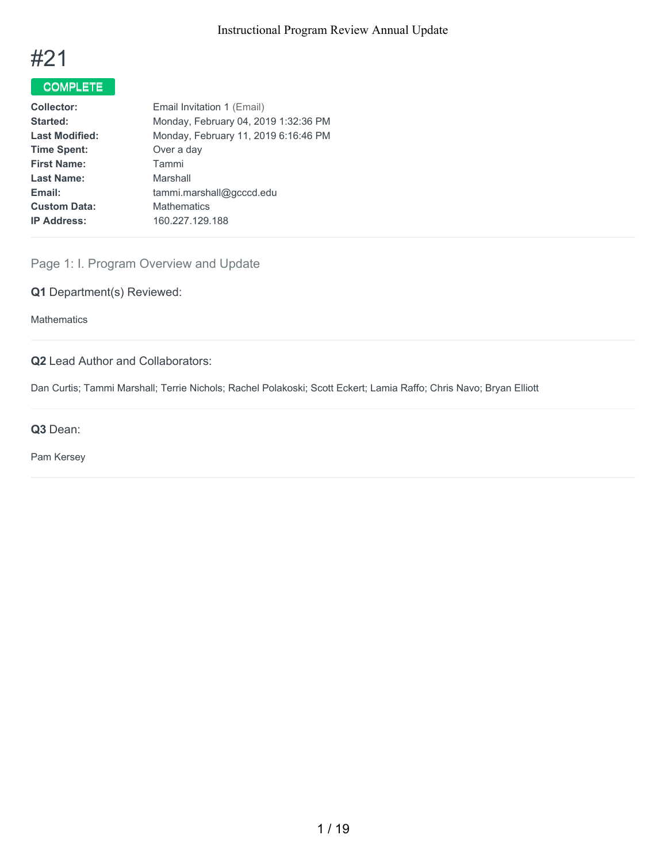

# COMPLETE

| Email Invitation 1 (Email)           |
|--------------------------------------|
| Monday, February 04, 2019 1:32:36 PM |
| Monday, February 11, 2019 6:16:46 PM |
| Over a day                           |
| Tammi                                |
| Marshall                             |
| tammi.marshall@gcccd.edu             |
| <b>Mathematics</b>                   |
| 160.227.129.188                      |
|                                      |

# Page 1: I. Program Overview and Update

# **Q1** Department(s) Reviewed:

**Mathematics** 

# **Q2** Lead Author and Collaborators:

Dan Curtis; Tammi Marshall; Terrie Nichols; Rachel Polakoski; Scott Eckert; Lamia Raffo; Chris Navo; Bryan Elliott

**Q3** Dean:

Pam Kersey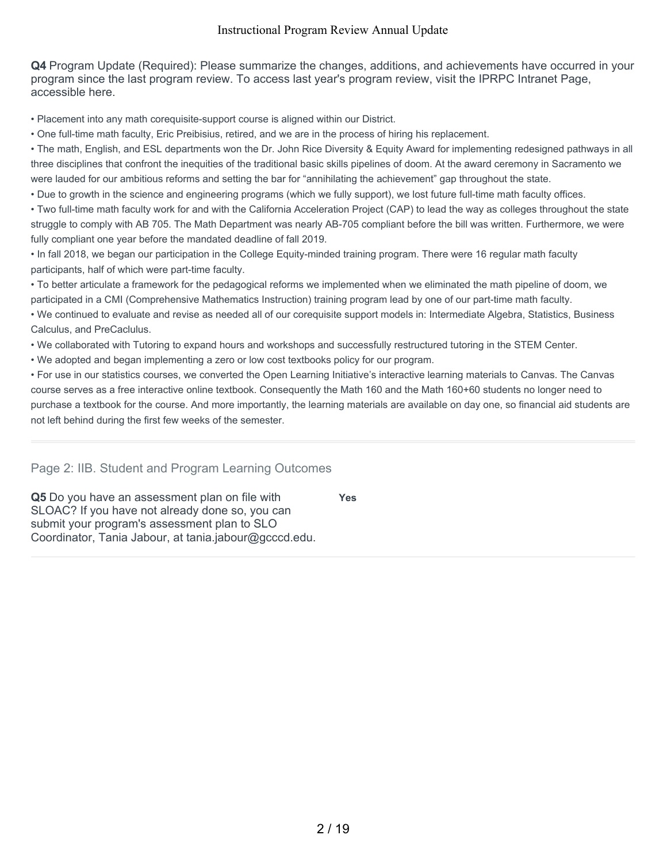**Q4** Program Update (Required): Please summarize the changes, additions, and achievements have occurred in your program since the last program review. To access last year's program review, visit the IPRPC Intranet Page, accessible here.

• Placement into any math corequisite-support course is aligned within our District.

• One full-time math faculty, Eric Preibisius, retired, and we are in the process of hiring his replacement.

• The math, English, and ESL departments won the Dr. John Rice Diversity & Equity Award for implementing redesigned pathways in all three disciplines that confront the inequities of the traditional basic skills pipelines of doom. At the award ceremony in Sacramento we were lauded for our ambitious reforms and setting the bar for "annihilating the achievement" gap throughout the state.

• Due to growth in the science and engineering programs (which we fully support), we lost future full-time math faculty offices.

• Two full-time math faculty work for and with the California Acceleration Project (CAP) to lead the way as colleges throughout the state struggle to comply with AB 705. The Math Department was nearly AB-705 compliant before the bill was written. Furthermore, we were fully compliant one year before the mandated deadline of fall 2019.

• In fall 2018, we began our participation in the College Equity-minded training program. There were 16 regular math faculty participants, half of which were part-time faculty.

• To better articulate a framework for the pedagogical reforms we implemented when we eliminated the math pipeline of doom, we participated in a CMI (Comprehensive Mathematics Instruction) training program lead by one of our part-time math faculty.

• We continued to evaluate and revise as needed all of our corequisite support models in: Intermediate Algebra, Statistics, Business Calculus, and PreCaclulus.

• We collaborated with Tutoring to expand hours and workshops and successfully restructured tutoring in the STEM Center.

• We adopted and began implementing a zero or low cost textbooks policy for our program.

• For use in our statistics courses, we converted the Open Learning Initiative's interactive learning materials to Canvas. The Canvas course serves as a free interactive online textbook. Consequently the Math 160 and the Math 160+60 students no longer need to purchase a textbook for the course. And more importantly, the learning materials are available on day one, so financial aid students are not left behind during the first few weeks of the semester.

**Yes**

# Page 2: IIB. Student and Program Learning Outcomes

**Q5** Do you have an assessment plan on file with SLOAC? If you have not already done so, you can submit your program's assessment plan to SLO Coordinator, Tania Jabour, at tania.jabour@gcccd.edu.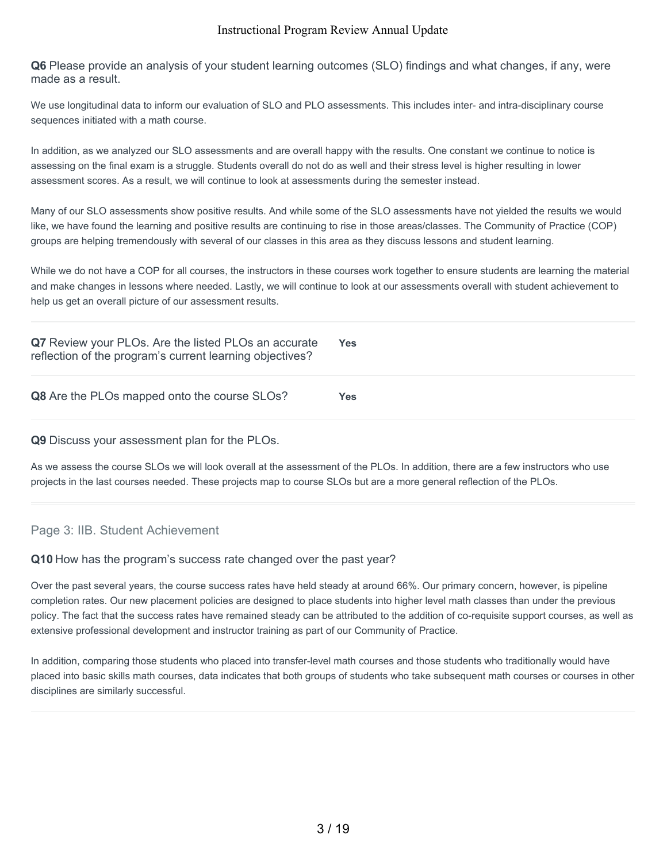**Q6** Please provide an analysis of your student learning outcomes (SLO) findings and what changes, if any, were made as a result.

We use longitudinal data to inform our evaluation of SLO and PLO assessments. This includes inter- and intra-disciplinary course sequences initiated with a math course.

In addition, as we analyzed our SLO assessments and are overall happy with the results. One constant we continue to notice is assessing on the final exam is a struggle. Students overall do not do as well and their stress level is higher resulting in lower assessment scores. As a result, we will continue to look at assessments during the semester instead.

Many of our SLO assessments show positive results. And while some of the SLO assessments have not yielded the results we would like, we have found the learning and positive results are continuing to rise in those areas/classes. The Community of Practice (COP) groups are helping tremendously with several of our classes in this area as they discuss lessons and student learning.

While we do not have a COP for all courses, the instructors in these courses work together to ensure students are learning the material and make changes in lessons where needed. Lastly, we will continue to look at our assessments overall with student achievement to help us get an overall picture of our assessment results.

| Q7 Review your PLOs. Are the listed PLOs an accurate<br>reflection of the program's current learning objectives? | Yes |
|------------------------------------------------------------------------------------------------------------------|-----|
| Q8 Are the PLOs mapped onto the course SLOs?                                                                     | Yes |

### **Q9** Discuss your assessment plan for the PLOs.

As we assess the course SLOs we will look overall at the assessment of the PLOs. In addition, there are a few instructors who use projects in the last courses needed. These projects map to course SLOs but are a more general reflection of the PLOs.

# Page 3: IIB. Student Achievement

### **Q10** How has the program's success rate changed over the past year?

Over the past several years, the course success rates have held steady at around 66%. Our primary concern, however, is pipeline completion rates. Our new placement policies are designed to place students into higher level math classes than under the previous policy. The fact that the success rates have remained steady can be attributed to the addition of co-requisite support courses, as well as extensive professional development and instructor training as part of our Community of Practice.

In addition, comparing those students who placed into transfer-level math courses and those students who traditionally would have placed into basic skills math courses, data indicates that both groups of students who take subsequent math courses or courses in other disciplines are similarly successful.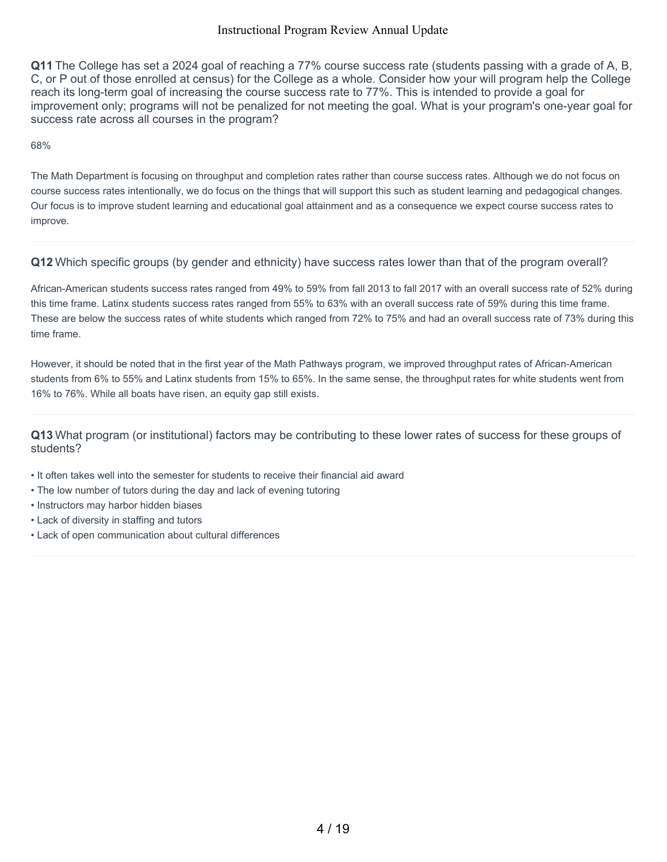**Q11** The College has set a 2024 goal of reaching a 77% course success rate (students passing with a grade of A, B, C, or P out of those enrolled at census) for the College as a whole. Consider how your will program help the College reach its long-term goal of increasing the course success rate to 77%. This is intended to provide a goal for improvement only; programs will not be penalized for not meeting the goal. What is your program's one-year goal for success rate across all courses in the program?

68%

The Math Department is focusing on throughput and completion rates rather than course success rates. Although we do not focus on course success rates intentionally, we do focus on the things that will support this such as student learning and pedagogical changes. Our focus is to improve student learning and educational goal attainment and as a consequence we expect course success rates to improve.

# **Q12** Which specific groups (by gender and ethnicity) have success rates lower than that of the program overall?

African-American students success rates ranged from 49% to 59% from fall 2013 to fall 2017 with an overall success rate of 52% during this time frame. Latinx students success rates ranged from 55% to 63% with an overall success rate of 59% during this time frame. These are below the success rates of white students which ranged from 72% to 75% and had an overall success rate of 73% during this time frame.

However, it should be noted that in the first year of the Math Pathways program, we improved throughput rates of African-American students from 6% to 55% and Latinx students from 15% to 65%. In the same sense, the throughput rates for white students went from 16% to 76%. While all boats have risen, an equity gap still exists.

**Q13** What program (or institutional) factors may be contributing to these lower rates of success for these groups of students?

- It often takes well into the semester for students to receive their financial aid award
- The low number of tutors during the day and lack of evening tutoring
- Instructors may harbor hidden biases
- Lack of diversity in staffing and tutors
- Lack of open communication about cultural differences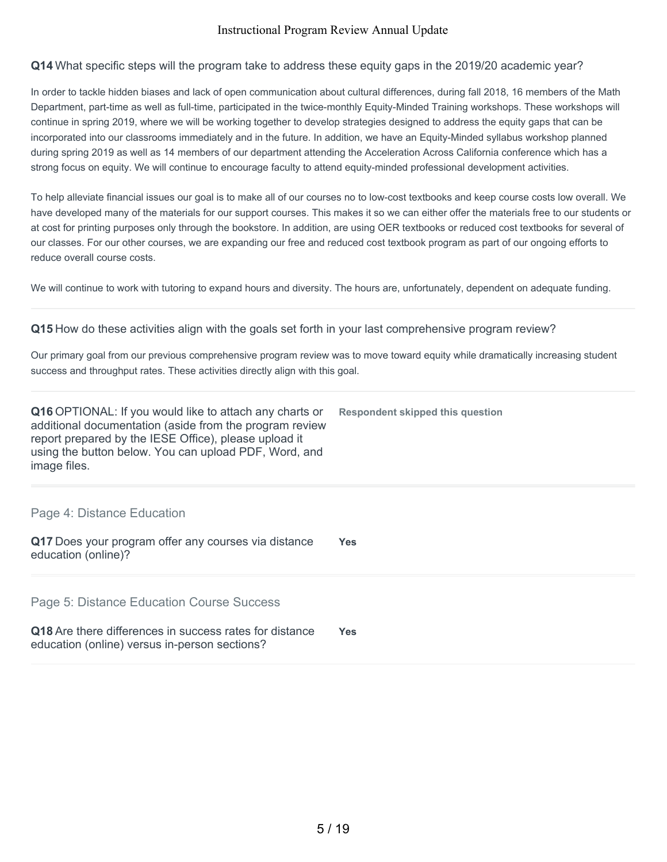# **Q14** What specific steps will the program take to address these equity gaps in the 2019/20 academic year?

In order to tackle hidden biases and lack of open communication about cultural differences, during fall 2018, 16 members of the Math Department, part-time as well as full-time, participated in the twice-monthly Equity-Minded Training workshops. These workshops will continue in spring 2019, where we will be working together to develop strategies designed to address the equity gaps that can be incorporated into our classrooms immediately and in the future. In addition, we have an Equity-Minded syllabus workshop planned during spring 2019 as well as 14 members of our department attending the Acceleration Across California conference which has a strong focus on equity. We will continue to encourage faculty to attend equity-minded professional development activities.

To help alleviate financial issues our goal is to make all of our courses no to low-cost textbooks and keep course costs low overall. We have developed many of the materials for our support courses. This makes it so we can either offer the materials free to our students or at cost for printing purposes only through the bookstore. In addition, are using OER textbooks or reduced cost textbooks for several of our classes. For our other courses, we are expanding our free and reduced cost textbook program as part of our ongoing efforts to reduce overall course costs.

We will continue to work with tutoring to expand hours and diversity. The hours are, unfortunately, dependent on adequate funding.

# **Q15** How do these activities align with the goals set forth in your last comprehensive program review?

Our primary goal from our previous comprehensive program review was to move toward equity while dramatically increasing student success and throughput rates. These activities directly align with this goal.

| <b>Q16</b> OPTIONAL: If you would like to attach any charts or<br>additional documentation (aside from the program review<br>report prepared by the IESE Office), please upload it<br>using the button below. You can upload PDF, Word, and<br>image files. | Respondent skipped this question |
|-------------------------------------------------------------------------------------------------------------------------------------------------------------------------------------------------------------------------------------------------------------|----------------------------------|
| Page 4: Distance Education                                                                                                                                                                                                                                  |                                  |
| Q17 Does your program offer any courses via distance<br>education (online)?                                                                                                                                                                                 | <b>Yes</b>                       |

Page 5: Distance Education Course Success

| Q18 Are there differences in success rates for distance | <b>Yes</b> |
|---------------------------------------------------------|------------|
| education (online) versus in-person sections?           |            |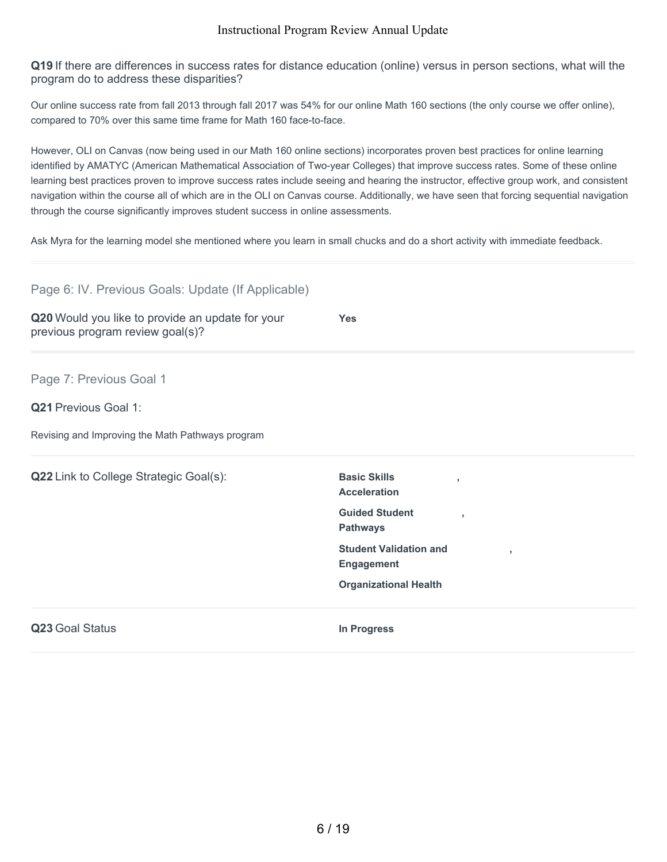**Q19** If there are differences in success rates for distance education (online) versus in person sections, what will the program do to address these disparities?

Our online success rate from fall 2013 through fall 2017 was 54% for our online Math 160 sections (the only course we offer online), compared to 70% over this same time frame for Math 160 face-to-face.

However, OLI on Canvas (now being used in our Math 160 online sections) incorporates proven best practices for online learning identified by AMATYC (American Mathematical Association of Two-year Colleges) that improve success rates. Some of these online learning best practices proven to improve success rates include seeing and hearing the instructor, effective group work, and consistent navigation within the course all of which are in the OLI on Canvas course. Additionally, we have seen that forcing sequential navigation through the course significantly improves student success in online assessments.

Ask Myra for the learning model she mentioned where you learn in small chucks and do a short activity with immediate feedback.

| Page 6: IV. Previous Goals: Update (If Applicable)                                   |                                                                        |
|--------------------------------------------------------------------------------------|------------------------------------------------------------------------|
| Q20 Would you like to provide an update for your<br>previous program review goal(s)? | <b>Yes</b>                                                             |
| Page 7: Previous Goal 1                                                              |                                                                        |
| <b>Q21 Previous Goal 1:</b>                                                          |                                                                        |
| Revising and Improving the Math Pathways program                                     |                                                                        |
| Q22 Link to College Strategic Goal(s):                                               | <b>Basic Skills</b><br>$\overline{\phantom{a}}$<br><b>Acceleration</b> |
|                                                                                      | <b>Guided Student</b><br>٠<br><b>Pathways</b>                          |
|                                                                                      | <b>Student Validation and</b><br>$\overline{1}$<br><b>Engagement</b>   |
|                                                                                      | <b>Organizational Health</b>                                           |
| Q23 Goal Status                                                                      | <b>In Progress</b>                                                     |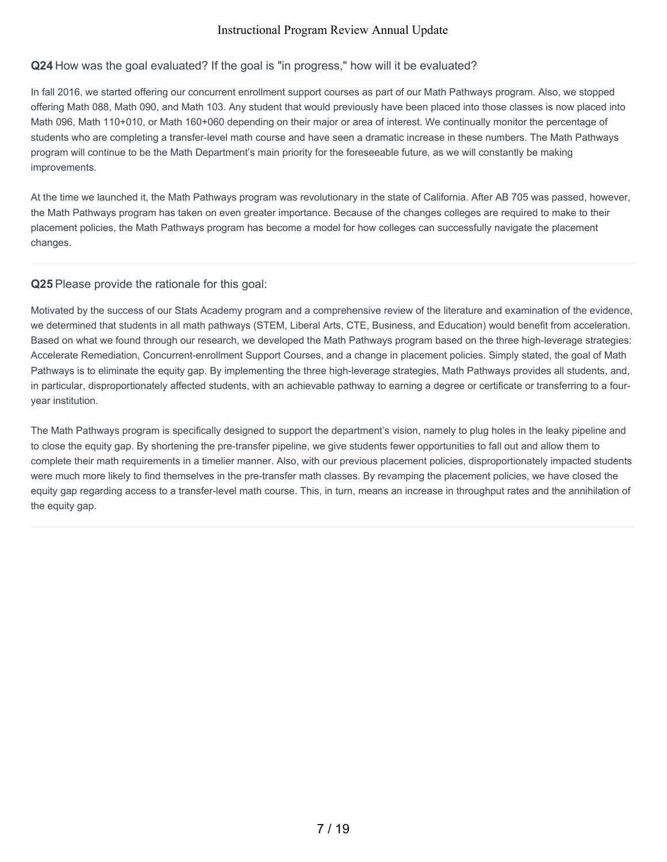# **Q24** How was the goal evaluated? If the goal is "in progress," how will it be evaluated?

In fall 2016, we started offering our concurrent enrollment support courses as part of our Math Pathways program. Also, we stopped offering Math 088, Math 090, and Math 103. Any student that would previously have been placed into those classes is now placed into Math 096, Math 110+010, or Math 160+060 depending on their major or area of interest. We continually monitor the percentage of students who are completing a transfer-level math course and have seen a dramatic increase in these numbers. The Math Pathways program will continue to be the Math Department's main priority for the foreseeable future, as we will constantly be making improvements.

At the time we launched it, the Math Pathways program was revolutionary in the state of California. After AB 705 was passed, however, the Math Pathways program has taken on even greater importance. Because of the changes colleges are required to make to their placement policies, the Math Pathways program has become a model for how colleges can successfully navigate the placement changes.

# **Q25** Please provide the rationale for this goal:

Motivated by the success of our Stats Academy program and a comprehensive review of the literature and examination of the evidence, we determined that students in all math pathways (STEM, Liberal Arts, CTE, Business, and Education) would benefit from acceleration. Based on what we found through our research, we developed the Math Pathways program based on the three high-leverage strategies: Accelerate Remediation, Concurrent-enrollment Support Courses, and a change in placement policies. Simply stated, the goal of Math Pathways is to eliminate the equity gap. By implementing the three high-leverage strategies, Math Pathways provides all students, and, in particular, disproportionately affected students, with an achievable pathway to earning a degree or certificate or transferring to a fouryear institution.

The Math Pathways program is specifically designed to support the department's vision, namely to plug holes in the leaky pipeline and to close the equity gap. By shortening the pre-transfer pipeline, we give students fewer opportunities to fall out and allow them to complete their math requirements in a timelier manner. Also, with our previous placement policies, disproportionately impacted students were much more likely to find themselves in the pre-transfer math classes. By revamping the placement policies, we have closed the equity gap regarding access to a transfer-level math course. This, in turn, means an increase in throughput rates and the annihilation of the equity gap.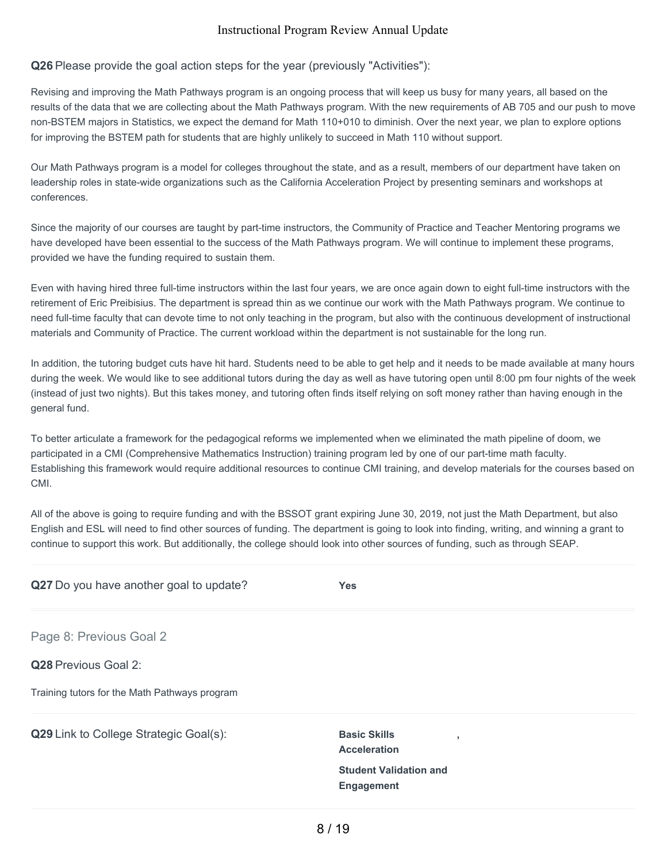# **Q26** Please provide the goal action steps for the year (previously "Activities"):

Revising and improving the Math Pathways program is an ongoing process that will keep us busy for many years, all based on the results of the data that we are collecting about the Math Pathways program. With the new requirements of AB 705 and our push to move non-BSTEM majors in Statistics, we expect the demand for Math 110+010 to diminish. Over the next year, we plan to explore options for improving the BSTEM path for students that are highly unlikely to succeed in Math 110 without support.

Our Math Pathways program is a model for colleges throughout the state, and as a result, members of our department have taken on leadership roles in state-wide organizations such as the California Acceleration Project by presenting seminars and workshops at conferences.

Since the majority of our courses are taught by part-time instructors, the Community of Practice and Teacher Mentoring programs we have developed have been essential to the success of the Math Pathways program. We will continue to implement these programs, provided we have the funding required to sustain them.

Even with having hired three full-time instructors within the last four years, we are once again down to eight full-time instructors with the retirement of Eric Preibisius. The department is spread thin as we continue our work with the Math Pathways program. We continue to need full-time faculty that can devote time to not only teaching in the program, but also with the continuous development of instructional materials and Community of Practice. The current workload within the department is not sustainable for the long run.

In addition, the tutoring budget cuts have hit hard. Students need to be able to get help and it needs to be made available at many hours during the week. We would like to see additional tutors during the day as well as have tutoring open until 8:00 pm four nights of the week (instead of just two nights). But this takes money, and tutoring often finds itself relying on soft money rather than having enough in the general fund.

To better articulate a framework for the pedagogical reforms we implemented when we eliminated the math pipeline of doom, we participated in a CMI (Comprehensive Mathematics Instruction) training program led by one of our part-time math faculty. Establishing this framework would require additional resources to continue CMI training, and develop materials for the courses based on CMI.

All of the above is going to require funding and with the BSSOT grant expiring June 30, 2019, not just the Math Department, but also English and ESL will need to find other sources of funding. The department is going to look into finding, writing, and winning a grant to continue to support this work. But additionally, the college should look into other sources of funding, such as through SEAP.

| Q27 Do you have another goal to update?       | <b>Yes</b>                                         |
|-----------------------------------------------|----------------------------------------------------|
| Page 8: Previous Goal 2                       |                                                    |
| Q28 Previous Goal 2:                          |                                                    |
| Training tutors for the Math Pathways program |                                                    |
| Q29 Link to College Strategic Goal(s):        | <b>Basic Skills</b><br><b>Acceleration</b>         |
|                                               | <b>Student Validation and</b><br><b>Engagement</b> |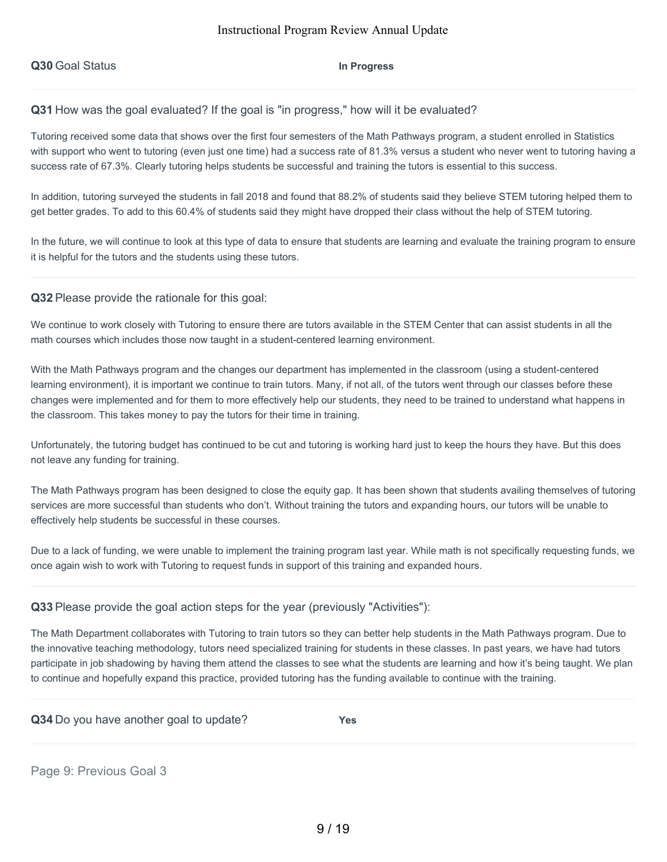# **Q31** How was the goal evaluated? If the goal is "in progress," how will it be evaluated?

Tutoring received some data that shows over the first four semesters of the Math Pathways program, a student enrolled in Statistics with support who went to tutoring (even just one time) had a success rate of 81.3% versus a student who never went to tutoring having a success rate of 67.3%. Clearly tutoring helps students be successful and training the tutors is essential to this success.

In addition, tutoring surveyed the students in fall 2018 and found that 88.2% of students said they believe STEM tutoring helped them to get better grades. To add to this 60.4% of students said they might have dropped their class without the help of STEM tutoring.

In the future, we will continue to look at this type of data to ensure that students are learning and evaluate the training program to ensure it is helpful for the tutors and the students using these tutors.

### **Q32** Please provide the rationale for this goal:

We continue to work closely with Tutoring to ensure there are tutors available in the STEM Center that can assist students in all the math courses which includes those now taught in a student-centered learning environment.

With the Math Pathways program and the changes our department has implemented in the classroom (using a student-centered learning environment), it is important we continue to train tutors. Many, if not all, of the tutors went through our classes before these changes were implemented and for them to more effectively help our students, they need to be trained to understand what happens in the classroom. This takes money to pay the tutors for their time in training.

Unfortunately, the tutoring budget has continued to be cut and tutoring is working hard just to keep the hours they have. But this does not leave any funding for training.

The Math Pathways program has been designed to close the equity gap. It has been shown that students availing themselves of tutoring services are more successful than students who don't. Without training the tutors and expanding hours, our tutors will be unable to effectively help students be successful in these courses.

Due to a lack of funding, we were unable to implement the training program last year. While math is not specifically requesting funds, we once again wish to work with Tutoring to request funds in support of this training and expanded hours.

### **Q33** Please provide the goal action steps for the year (previously "Activities"):

The Math Department collaborates with Tutoring to train tutors so they can better help students in the Math Pathways program. Due to the innovative teaching methodology, tutors need specialized training for students in these classes. In past years, we have had tutors participate in job shadowing by having them attend the classes to see what the students are learning and how it's being taught. We plan to continue and hopefully expand this practice, provided tutoring has the funding available to continue with the training.

|  | Q34 Do you have another goal to update? | <b>Yes</b> |
|--|-----------------------------------------|------------|
|--|-----------------------------------------|------------|

Page 9: Previous Goal 3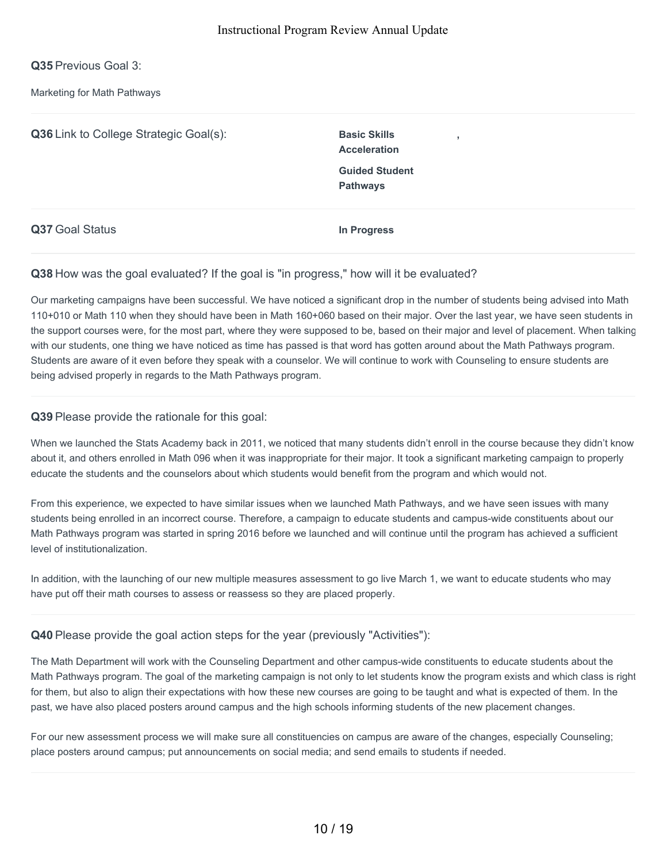**Q35** Previous Goal 3:

Marketing for Math Pathways

**Q36** Link to College Strategic Goal(s): Basic Skills **Acceleration , Guided Student Pathways Q37** Goal Status **In Progress**

# **Q38** How was the goal evaluated? If the goal is "in progress," how will it be evaluated?

Our marketing campaigns have been successful. We have noticed a significant drop in the number of students being advised into Math 110+010 or Math 110 when they should have been in Math 160+060 based on their major. Over the last year, we have seen students in the support courses were, for the most part, where they were supposed to be, based on their major and level of placement. When talking with our students, one thing we have noticed as time has passed is that word has gotten around about the Math Pathways program. Students are aware of it even before they speak with a counselor. We will continue to work with Counseling to ensure students are being advised properly in regards to the Math Pathways program.

# **Q39** Please provide the rationale for this goal:

When we launched the Stats Academy back in 2011, we noticed that many students didn't enroll in the course because they didn't know about it, and others enrolled in Math 096 when it was inappropriate for their major. It took a significant marketing campaign to properly educate the students and the counselors about which students would benefit from the program and which would not.

From this experience, we expected to have similar issues when we launched Math Pathways, and we have seen issues with many students being enrolled in an incorrect course. Therefore, a campaign to educate students and campus-wide constituents about our Math Pathways program was started in spring 2016 before we launched and will continue until the program has achieved a sufficient level of institutionalization.

In addition, with the launching of our new multiple measures assessment to go live March 1, we want to educate students who may have put off their math courses to assess or reassess so they are placed properly.

# **Q40** Please provide the goal action steps for the year (previously "Activities"):

The Math Department will work with the Counseling Department and other campus-wide constituents to educate students about the Math Pathways program. The goal of the marketing campaign is not only to let students know the program exists and which class is right for them, but also to align their expectations with how these new courses are going to be taught and what is expected of them. In the past, we have also placed posters around campus and the high schools informing students of the new placement changes.

For our new assessment process we will make sure all constituencies on campus are aware of the changes, especially Counseling; place posters around campus; put announcements on social media; and send emails to students if needed.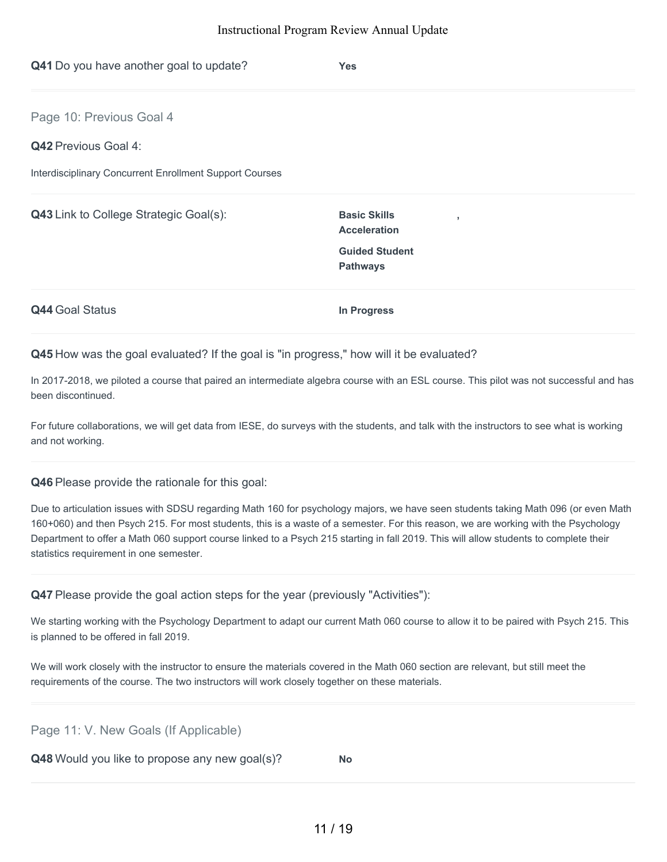| Q41 Do you have another goal to update?                 | <b>Yes</b>                                                   |  |
|---------------------------------------------------------|--------------------------------------------------------------|--|
| Page 10: Previous Goal 4                                |                                                              |  |
| <b>Q42 Previous Goal 4:</b>                             |                                                              |  |
| Interdisciplinary Concurrent Enrollment Support Courses |                                                              |  |
| Q43 Link to College Strategic Goal(s):                  | <b>Basic Skills</b><br>$\overline{1}$<br><b>Acceleration</b> |  |
|                                                         | <b>Guided Student</b><br><b>Pathways</b>                     |  |
| <b>Q44 Goal Status</b>                                  | In Progress                                                  |  |

**Q45** How was the goal evaluated? If the goal is "in progress," how will it be evaluated?

In 2017-2018, we piloted a course that paired an intermediate algebra course with an ESL course. This pilot was not successful and has been discontinued.

For future collaborations, we will get data from IESE, do surveys with the students, and talk with the instructors to see what is working and not working.

**Q46** Please provide the rationale for this goal:

Due to articulation issues with SDSU regarding Math 160 for psychology majors, we have seen students taking Math 096 (or even Math 160+060) and then Psych 215. For most students, this is a waste of a semester. For this reason, we are working with the Psychology Department to offer a Math 060 support course linked to a Psych 215 starting in fall 2019. This will allow students to complete their statistics requirement in one semester.

**Q47** Please provide the goal action steps for the year (previously "Activities"):

We starting working with the Psychology Department to adapt our current Math 060 course to allow it to be paired with Psych 215. This is planned to be offered in fall 2019.

We will work closely with the instructor to ensure the materials covered in the Math 060 section are relevant, but still meet the requirements of the course. The two instructors will work closely together on these materials.

Page 11: V. New Goals (If Applicable)

**Q48** Would you like to propose any new goal(s)? **No**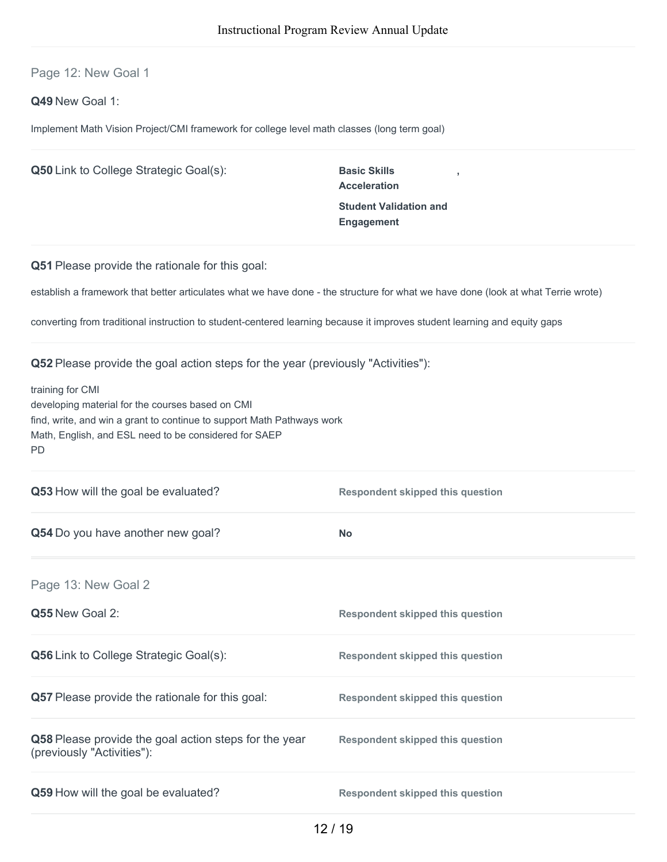Page 12: New Goal 1

**Q49** New Goal 1:

Implement Math Vision Project/CMI framework for college level math classes (long term goal)

| <b>Q50</b> Link to College Strategic Goal(s):                                                                                                                                                                        | <b>Basic Skills</b><br><b>Acceleration</b><br><b>Student Validation and</b><br><b>Engagement</b> |
|----------------------------------------------------------------------------------------------------------------------------------------------------------------------------------------------------------------------|--------------------------------------------------------------------------------------------------|
| Q51 Please provide the rationale for this goal:                                                                                                                                                                      |                                                                                                  |
| establish a framework that better articulates what we have done - the structure for what we have done (look at what Terrie wrote)                                                                                    |                                                                                                  |
| converting from traditional instruction to student-centered learning because it improves student learning and equity gaps                                                                                            |                                                                                                  |
| <b>Q52</b> Please provide the goal action steps for the year (previously "Activities"):                                                                                                                              |                                                                                                  |
| training for CMI<br>developing material for the courses based on CMI<br>find, write, and win a grant to continue to support Math Pathways work<br>Math, English, and ESL need to be considered for SAEP<br><b>PD</b> |                                                                                                  |
| Q53 How will the goal be evaluated?                                                                                                                                                                                  | <b>Respondent skipped this question</b>                                                          |
| Q54 Do you have another new goal?                                                                                                                                                                                    | <b>No</b>                                                                                        |
| Page 13: New Goal 2                                                                                                                                                                                                  |                                                                                                  |
| Q55 New Goal 2:                                                                                                                                                                                                      | <b>Respondent skipped this question</b>                                                          |
| Q56 Link to College Strategic Goal(s):                                                                                                                                                                               | <b>Respondent skipped this question</b>                                                          |
| Q57 Please provide the rationale for this goal:                                                                                                                                                                      | <b>Respondent skipped this question</b>                                                          |
| Q58 Please provide the goal action steps for the year<br>(previously "Activities"):                                                                                                                                  | <b>Respondent skipped this question</b>                                                          |
| Q59 How will the goal be evaluated?                                                                                                                                                                                  | <b>Respondent skipped this question</b>                                                          |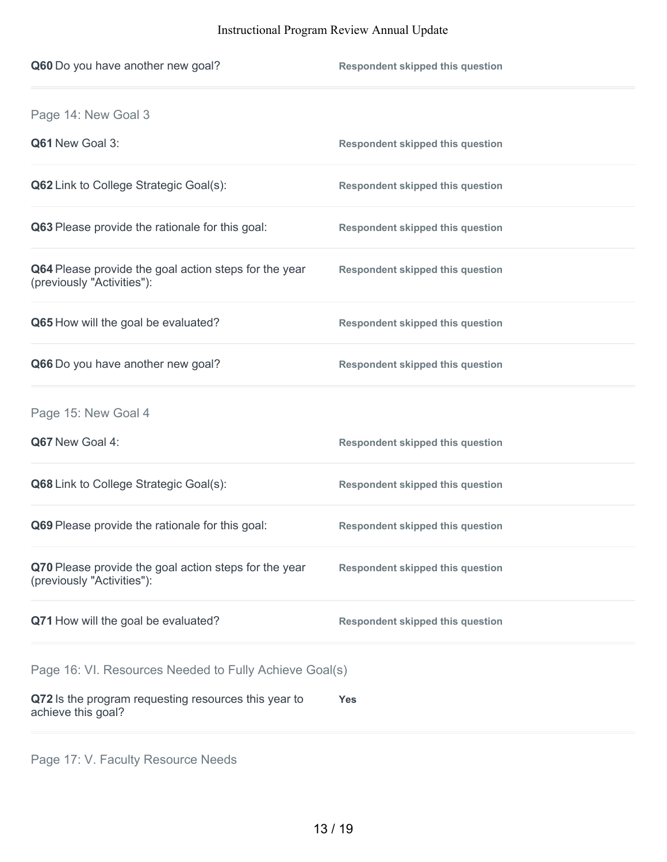| Q60 Do you have another new goal?                                                   | <b>Respondent skipped this question</b> |
|-------------------------------------------------------------------------------------|-----------------------------------------|
| Page 14: New Goal 3                                                                 |                                         |
| Q61 New Goal 3:                                                                     | <b>Respondent skipped this question</b> |
| <b>Q62</b> Link to College Strategic Goal(s):                                       | <b>Respondent skipped this question</b> |
| Q63 Please provide the rationale for this goal:                                     | <b>Respondent skipped this question</b> |
| Q64 Please provide the goal action steps for the year<br>(previously "Activities"): | <b>Respondent skipped this question</b> |
| Q65 How will the goal be evaluated?                                                 | <b>Respondent skipped this question</b> |
| Q66 Do you have another new goal?                                                   | <b>Respondent skipped this question</b> |
| Page 15: New Goal 4                                                                 |                                         |
| Q67 New Goal 4:                                                                     | <b>Respondent skipped this question</b> |
| Q68 Link to College Strategic Goal(s):                                              | <b>Respondent skipped this question</b> |
| Q69 Please provide the rationale for this goal:                                     | <b>Respondent skipped this question</b> |
| Q70 Please provide the goal action steps for the year<br>(previously "Activities"): | <b>Respondent skipped this question</b> |
| Q71 How will the goal be evaluated?                                                 | <b>Respondent skipped this question</b> |
| Page 16: VI. Resources Needed to Fully Achieve Goal(s)                              |                                         |
| Q72 Is the program requesting resources this year to<br>achieve this goal?          | Yes                                     |
|                                                                                     |                                         |

Page 17: V. Faculty Resource Needs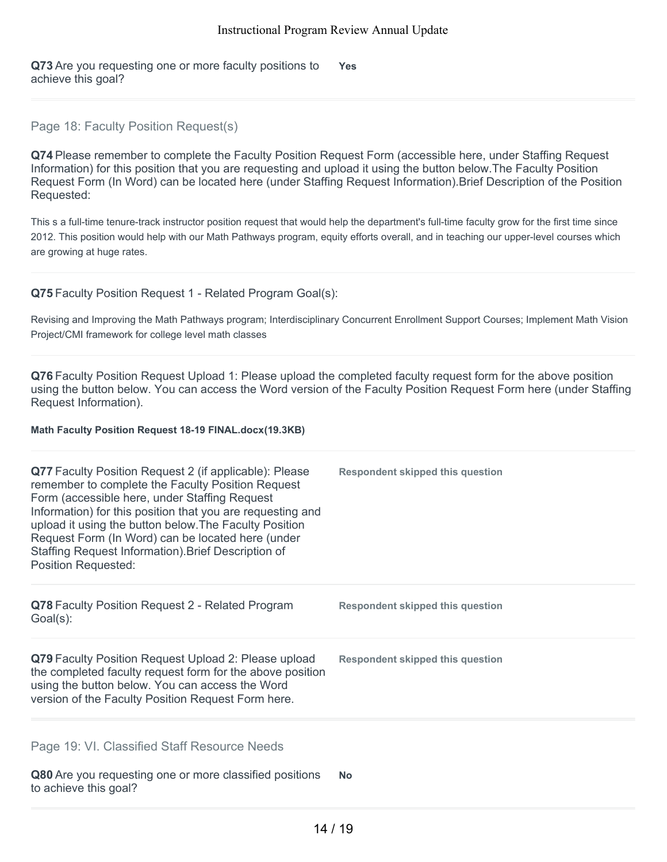**Q73** Are you requesting one or more faculty positions to achieve this goal? **Yes**

# Page 18: Faculty Position Request(s)

**Q74** Please remember to complete the Faculty Position Request Form (accessible here, under Staffing Request Information) for this position that you are requesting and upload it using the button below.The Faculty Position Request Form (In Word) can be located here (under Staffing Request Information).Brief Description of the Position Requested:

This s a full-time tenure-track instructor position request that would help the department's full-time faculty grow for the first time since 2012. This position would help with our Math Pathways program, equity efforts overall, and in teaching our upper-level courses which are growing at huge rates.

### **Q75** Faculty Position Request 1 - Related Program Goal(s):

Revising and Improving the Math Pathways program; Interdisciplinary Concurrent Enrollment Support Courses; Implement Math Vision Project/CMI framework for college level math classes

**Q76** Faculty Position Request Upload 1: Please upload the completed faculty request form for the above position using the button below. You can access the Word version of the Faculty Position Request Form here (under Staffing Request Information).

#### **Math Faculty Position Request 18-19 FINAL.docx(19.3KB)**

| <b>Q77</b> Faculty Position Request 2 (if applicable): Please<br>remember to complete the Faculty Position Request<br>Form (accessible here, under Staffing Request<br>Information) for this position that you are requesting and<br>upload it using the button below. The Faculty Position<br>Request Form (In Word) can be located here (under<br>Staffing Request Information). Brief Description of<br><b>Position Requested:</b> | <b>Respondent skipped this question</b> |
|---------------------------------------------------------------------------------------------------------------------------------------------------------------------------------------------------------------------------------------------------------------------------------------------------------------------------------------------------------------------------------------------------------------------------------------|-----------------------------------------|
| Q78 Faculty Position Request 2 - Related Program<br>$Goal(s)$ :                                                                                                                                                                                                                                                                                                                                                                       | Respondent skipped this question        |
| Q79 Faculty Position Request Upload 2: Please upload<br>the completed faculty request form for the above position<br>using the button below. You can access the Word<br>version of the Faculty Position Request Form here.                                                                                                                                                                                                            | <b>Respondent skipped this question</b> |
| Page 19: VI. Classified Staff Resource Needs                                                                                                                                                                                                                                                                                                                                                                                          |                                         |
| Q80 Are you requesting one or more classified positions<br>to achieve this goal?                                                                                                                                                                                                                                                                                                                                                      | <b>No</b>                               |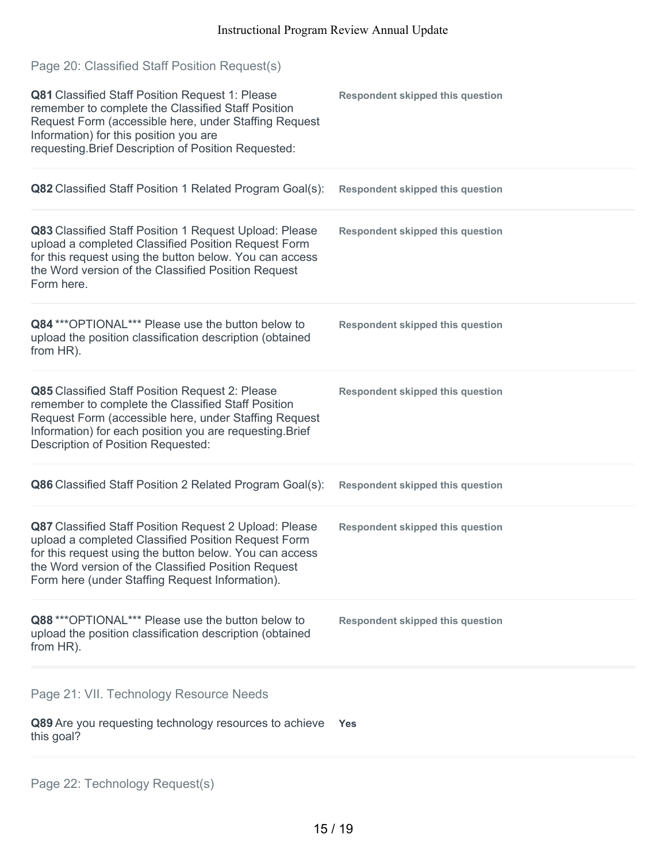| Page 20: Classified Staff Position Request(s)<br>Q81 Classified Staff Position Request 1: Please<br>remember to complete the Classified Staff Position<br>Request Form (accessible here, under Staffing Request<br>Information) for this position you are<br>requesting. Brief Description of Position Requested: | <b>Respondent skipped this question</b> |
|-------------------------------------------------------------------------------------------------------------------------------------------------------------------------------------------------------------------------------------------------------------------------------------------------------------------|-----------------------------------------|
| Q82 Classified Staff Position 1 Related Program Goal(s):                                                                                                                                                                                                                                                          | <b>Respondent skipped this question</b> |
| Q83 Classified Staff Position 1 Request Upload: Please<br>upload a completed Classified Position Request Form<br>for this request using the button below. You can access<br>the Word version of the Classified Position Request<br>Form here.                                                                     | <b>Respondent skipped this question</b> |
| Q84 *** OPTIONAL*** Please use the button below to<br>upload the position classification description (obtained<br>from HR).                                                                                                                                                                                       | <b>Respondent skipped this question</b> |
| Q85 Classified Staff Position Request 2: Please<br>remember to complete the Classified Staff Position<br>Request Form (accessible here, under Staffing Request<br>Information) for each position you are requesting. Brief<br>Description of Position Requested:                                                  | <b>Respondent skipped this question</b> |
| Q86 Classified Staff Position 2 Related Program Goal(s):                                                                                                                                                                                                                                                          | <b>Respondent skipped this question</b> |
| Q87 Classified Staff Position Request 2 Upload: Please<br>upload a completed Classified Position Request Form<br>for this request using the button below. You can access<br>the Word version of the Classified Position Request<br>Form here (under Staffing Request Information).                                | <b>Respondent skipped this question</b> |
| Q88 *** OPTIONAL*** Please use the button below to<br>upload the position classification description (obtained<br>from HR).                                                                                                                                                                                       | <b>Respondent skipped this question</b> |
| Page 21: VII. Technology Resource Needs<br>Q89 Are you requesting technology resources to achieve<br>this goal?                                                                                                                                                                                                   | <b>Yes</b>                              |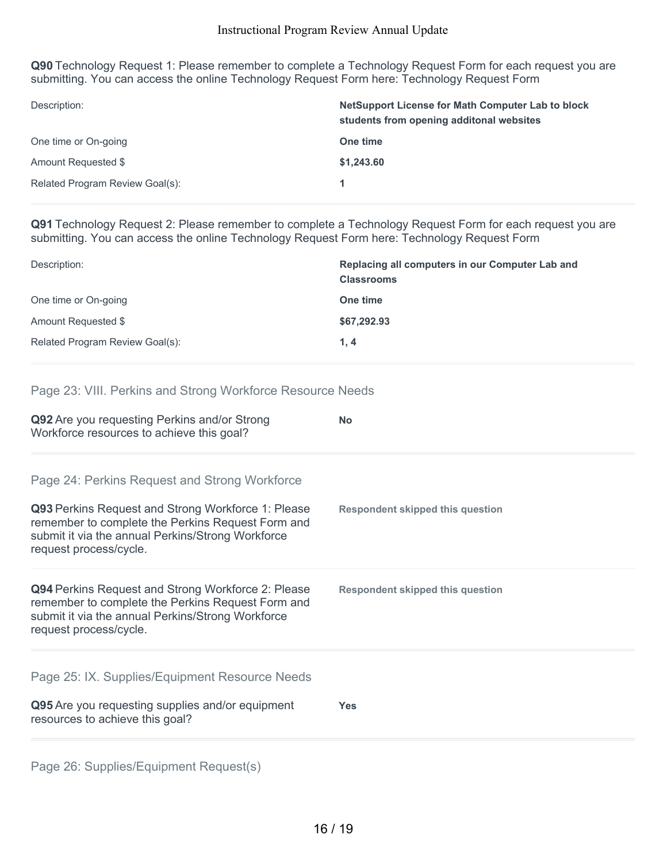**Q90** Technology Request 1: Please remember to complete a Technology Request Form for each request you are submitting. You can access the online Technology Request Form here: Technology Request Form

| Description:                    | NetSupport License for Math Computer Lab to block<br>students from opening additonal websites |
|---------------------------------|-----------------------------------------------------------------------------------------------|
| One time or On-going            | One time                                                                                      |
| Amount Requested \$             | \$1,243.60                                                                                    |
| Related Program Review Goal(s): |                                                                                               |

**Q91** Technology Request 2: Please remember to complete a Technology Request Form for each request you are submitting. You can access the online Technology Request Form here: Technology Request Form

| Description:                    | Replacing all computers in our Computer Lab and<br><b>Classrooms</b> |
|---------------------------------|----------------------------------------------------------------------|
| One time or On-going            | One time                                                             |
| Amount Requested \$             | \$67,292.93                                                          |
| Related Program Review Goal(s): | 1.4                                                                  |

# Page 23: VIII. Perkins and Strong Workforce Resource Needs

| Q92 Are you requesting Perkins and/or Strong<br>Workforce resources to achieve this goal?                                                                                              | <b>No</b>                               |
|----------------------------------------------------------------------------------------------------------------------------------------------------------------------------------------|-----------------------------------------|
| Page 24: Perkins Request and Strong Workforce<br>Q93 Perkins Request and Strong Workforce 1: Please                                                                                    | <b>Respondent skipped this question</b> |
| remember to complete the Perkins Request Form and<br>submit it via the annual Perkins/Strong Workforce<br>request process/cycle.                                                       |                                         |
| Q94 Perkins Request and Strong Workforce 2: Please<br>remember to complete the Perkins Request Form and<br>submit it via the annual Perkins/Strong Workforce<br>request process/cycle. | <b>Respondent skipped this question</b> |
| Page 25: IX. Supplies/Equipment Resource Needs                                                                                                                                         |                                         |
| Q95 Are you requesting supplies and/or equipment<br>resources to achieve this goal?                                                                                                    | <b>Yes</b>                              |
| Page 26: Supplies/Equipment Request(s)                                                                                                                                                 |                                         |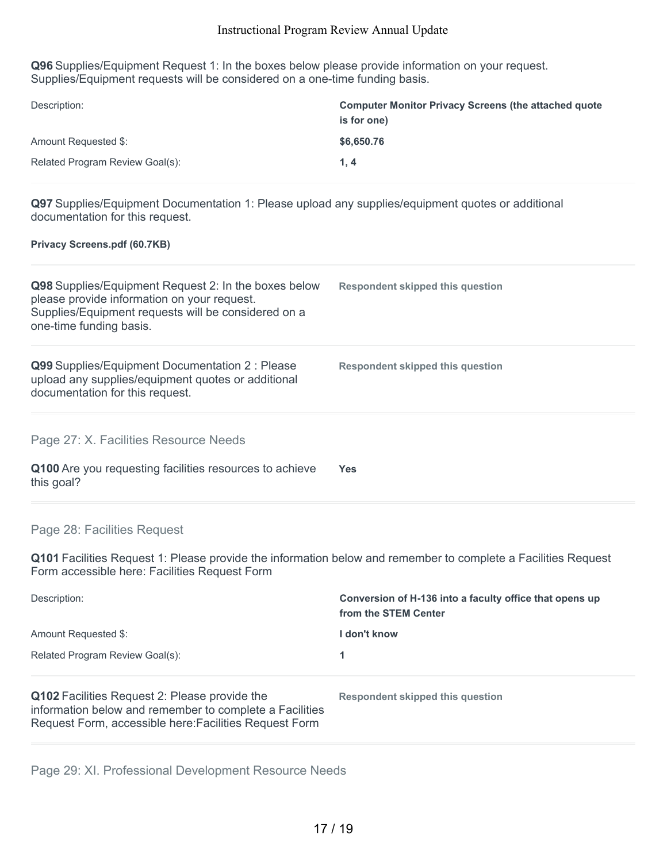**Q96** Supplies/Equipment Request 1: In the boxes below please provide information on your request. Supplies/Equipment requests will be considered on a one-time funding basis.

| Description:                    | <b>Computer Monitor Privacy Screens (the attached quote</b><br>is for one) |
|---------------------------------|----------------------------------------------------------------------------|
| Amount Requested \$:            | \$6,650.76                                                                 |
| Related Program Review Goal(s): | 1.4                                                                        |

**Q97** Supplies/Equipment Documentation 1: Please upload any supplies/equipment quotes or additional documentation for this request.

#### **Privacy Screens.pdf (60.7KB)**

| Q98 Supplies/Equipment Request 2: In the boxes below<br>please provide information on your request.<br>Supplies/Equipment requests will be considered on a<br>one-time funding basis. | Respondent skipped this question |
|---------------------------------------------------------------------------------------------------------------------------------------------------------------------------------------|----------------------------------|
| Q99 Supplies/Equipment Documentation 2 : Please<br>upload any supplies/equipment quotes or additional<br>documentation for this request.                                              | Respondent skipped this question |
| Page 27: X. Facilities Resource Needs<br>Q100 Are you requesting facilities resources to achieve<br>this goal?                                                                        | Yes.                             |

# Page 28: Facilities Request

**Q101** Facilities Request 1: Please provide the information below and remember to complete a Facilities Request Form accessible here: Facilities Request Form

| Description:                                                                                             | Conversion of H-136 into a faculty office that opens up<br>from the STEM Center |
|----------------------------------------------------------------------------------------------------------|---------------------------------------------------------------------------------|
| Amount Requested \$:                                                                                     | l don't know                                                                    |
| Related Program Review Goal(s):                                                                          |                                                                                 |
| Q102 Facilities Request 2: Please provide the<br>information below and remember to complete a Facilities | Respondent skipped this question                                                |

Request Form, accessible here:Facilities Request Form

Page 29: XI. Professional Development Resource Needs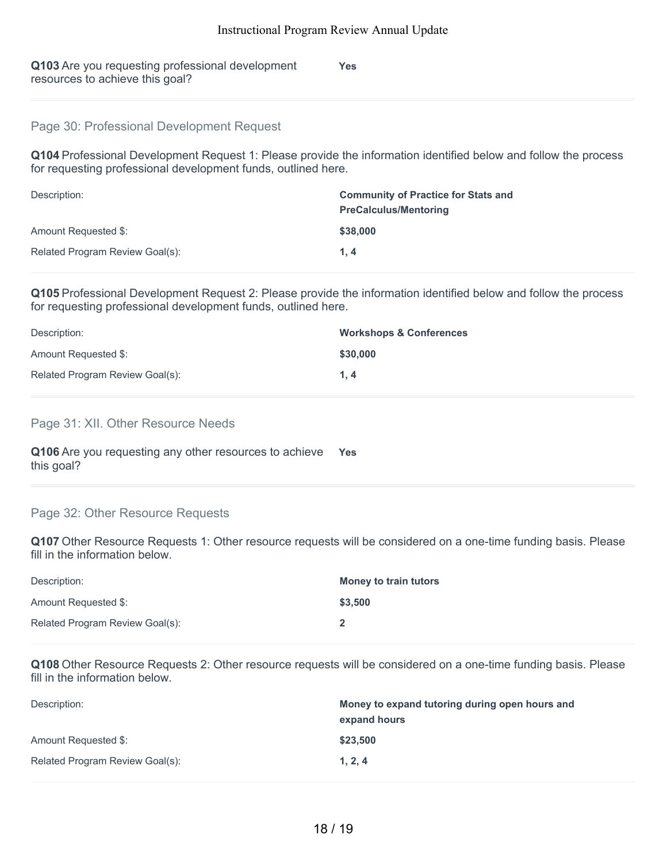| Q103 Are you requesting professional development | <b>Yes</b> |
|--------------------------------------------------|------------|
| resources to achieve this goal?                  |            |

# Page 30: Professional Development Request

**Q104** Professional Development Request 1: Please provide the information identified below and follow the process for requesting professional development funds, outlined here.

| Description:                    | <b>Community of Practice for Stats and</b><br><b>PreCalculus/Mentoring</b> |
|---------------------------------|----------------------------------------------------------------------------|
| Amount Requested \$:            | \$38,000                                                                   |
| Related Program Review Goal(s): | 1.4                                                                        |

**Q105** Professional Development Request 2: Please provide the information identified below and follow the process for requesting professional development funds, outlined here.

| Description:                    | <b>Workshops &amp; Conferences</b> |
|---------------------------------|------------------------------------|
| Amount Requested \$:            | \$30,000                           |
| Related Program Review Goal(s): | 1.4                                |

### Page 31: XII. Other Resource Needs

| Q106 Are you requesting any other resources to achieve | Yes |
|--------------------------------------------------------|-----|
| this goal?                                             |     |

### Page 32: Other Resource Requests

**Q107** Other Resource Requests 1: Other resource requests will be considered on a one-time funding basis. Please fill in the information below.

| Description:                    | <b>Money to train tutors</b> |
|---------------------------------|------------------------------|
| Amount Requested \$:            | \$3,500                      |
| Related Program Review Goal(s): |                              |

**Q108** Other Resource Requests 2: Other resource requests will be considered on a one-time funding basis. Please fill in the information below.

| Description:                    | Money to expand tutoring during open hours and<br>expand hours |
|---------------------------------|----------------------------------------------------------------|
| Amount Requested \$:            | \$23.500                                                       |
| Related Program Review Goal(s): | 1, 2, 4                                                        |